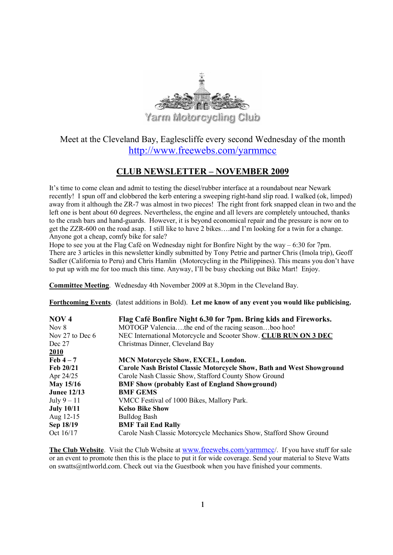

# Meet at the Cleveland Bay, Eaglescliffe every second Wednesday of the month http://www.freewebs.com/yarmmcc

# CLUB NEWSLETTER – NOVEMBER 2009

It's time to come clean and admit to testing the diesel/rubber interface at a roundabout near Newark recently! I spun off and clobbered the kerb entering a sweeping right-hand slip road. I walked (ok, limped) away from it although the ZR-7 was almost in two pieces! The right front fork snapped clean in two and the left one is bent about 60 degrees. Nevertheless, the engine and all levers are completely untouched, thanks to the crash bars and hand-guards. However, it is beyond economical repair and the pressure is now on to get the ZZR-600 on the road asap. I still like to have 2 bikes….and I'm looking for a twin for a change. Anyone got a cheap, comfy bike for sale?

Hope to see you at the Flag Café on Wednesday night for Bonfire Night by the way  $-6:30$  for 7pm. There are 3 articles in this newsletter kindly submitted by Tony Petrie and partner Chris (Imola trip), Geoff Sadler (California to Peru) and Chris Hamlin (Motorcycling in the Philippines). This means you don't have to put up with me for too much this time. Anyway, I'll be busy checking out Bike Mart! Enjoy.

Committee Meeting. Wednesday 4th November 2009 at 8.30pm in the Cleveland Bay.

Forthcoming Events. (latest additions in Bold). Let me know of any event you would like publicising.

| NOV <sub>4</sub>   | Flag Café Bonfire Night 6.30 for 7pm. Bring kids and Fireworks.       |
|--------------------|-----------------------------------------------------------------------|
| Nov 8              | MOTOGP Valenciathe end of the racing seasonboo hoo!                   |
| Nov 27 to Dec 6    | NEC International Motorcycle and Scooter Show. CLUB RUN ON 3 DEC      |
| Dec 27             | Christmas Dinner, Cleveland Bay                                       |
| 2010               |                                                                       |
| Feb $4-7$          | <b>MCN Motorcycle Show, EXCEL, London.</b>                            |
| Feb 20/21          | Carole Nash Bristol Classic Motorcycle Show, Bath and West Showground |
| Apr 24/25          | Carole Nash Classic Show, Stafford County Show Ground                 |
| May 15/16          | <b>BMF Show (probably East of England Showground)</b>                 |
| <b>Junee 12/13</b> | <b>BMF GEMS</b>                                                       |
| July $9-11$        | VMCC Festival of 1000 Bikes, Mallory Park.                            |
| <b>July 10/11</b>  | <b>Kelso Bike Show</b>                                                |
| Aug 12-15          | <b>Bulldog Bash</b>                                                   |
| Sep 18/19          | <b>BMF Tail End Rally</b>                                             |
| Oct 16/17          | Carole Nash Classic Motorcycle Mechanics Show, Stafford Show Ground   |

The Club Website. Visit the Club Website at www.freewebs.com/yarmmcc/. If you have stuff for sale or an event to promote then this is the place to put it for wide coverage. Send your material to Steve Watts on swatts@ntlworld.com. Check out via the Guestbook when you have finished your comments.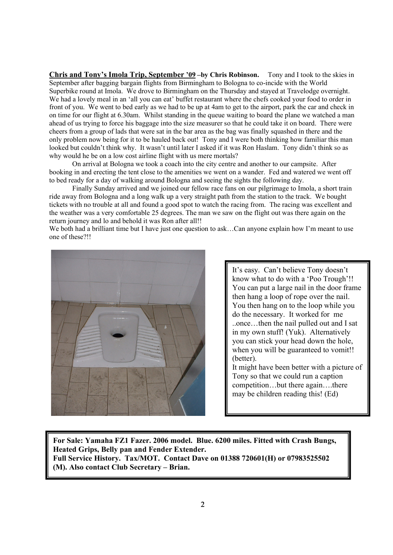Chris and Tony's Imola Trip, September '09 –by Chris Robinson. Tony and I took to the skies in September after bagging bargain flights from Birmingham to Bologna to co-incide with the World Superbike round at Imola. We drove to Birmingham on the Thursday and stayed at Travelodge overnight. We had a lovely meal in an 'all you can eat' buffet restaurant where the chefs cooked your food to order in front of you. We went to bed early as we had to be up at 4am to get to the airport, park the car and check in on time for our flight at 6.30am. Whilst standing in the queue waiting to board the plane we watched a man ahead of us trying to force his baggage into the size measurer so that he could take it on board. There were cheers from a group of lads that were sat in the bar area as the bag was finally squashed in there and the only problem now being for it to be hauled back out! Tony and I were both thinking how familiar this man looked but couldn't think why. It wasn't until later I asked if it was Ron Haslam. Tony didn't think so as why would he be on a low cost airline flight with us mere mortals?

 On arrival at Bologna we took a coach into the city centre and another to our campsite. After booking in and erecting the tent close to the amenities we went on a wander. Fed and watered we went off to bed ready for a day of walking around Bologna and seeing the sights the following day.

 Finally Sunday arrived and we joined our fellow race fans on our pilgrimage to Imola, a short train ride away from Bologna and a long walk up a very straight path from the station to the track. We bought tickets with no trouble at all and found a good spot to watch the racing from. The racing was excellent and the weather was a very comfortable 25 degrees. The man we saw on the flight out was there again on the return journey and lo and behold it was Ron after all!!

We both had a brilliant time but I have just one question to ask...Can anyone explain how I'm meant to use one of these?!!



It's easy. Can't believe Tony doesn't know what to do with a 'Poo Trough'!! You can put a large nail in the door frame then hang a loop of rope over the nail. You then hang on to the loop while you do the necessary. It worked for me ..once…then the nail pulled out and I sat in my own stuff! (Yuk). Alternatively you can stick your head down the hole, when you will be guaranteed to vomit!! (better).

It might have been better with a picture of Tony so that we could run a caption competition…but there again….there may be children reading this! (Ed)

For Sale: Yamaha FZ1 Fazer. 2006 model. Blue. 6200 miles. Fitted with Crash Bungs, Heated Grips, Belly pan and Fender Extender. Full Service History. Tax/MOT. Contact Dave on 01388 720601(H) or 07983525502 (M). Also contact Club Secretary – Brian.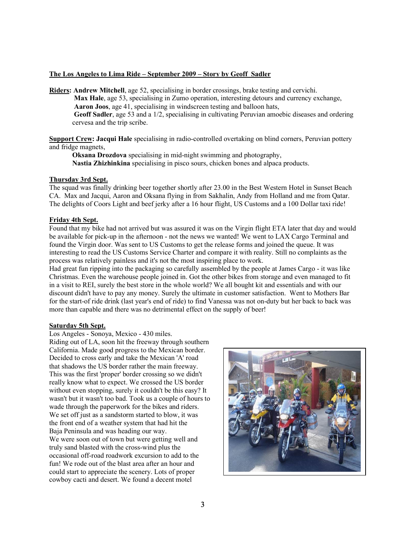# The Los Angeles to Lima Ride – September 2009 – Story by Geoff Sadler

Riders: Andrew Mitchell, age 52, specialising in border crossings, brake testing and cervichi. Max Hale, age 53, specialising in Zumo operation, interesting detours and currency exchange, Aaron Joos, age 41, specialising in windscreen testing and balloon hats,

 Geoff Sadler, age 53 and a 1/2, specialising in cultivating Peruvian amoebic diseases and ordering cervesa and the trip scribe.

Support Crew: Jacqui Hale specialising in radio-controlled overtaking on blind corners, Peruvian pottery and fridge magnets,

Oksana Drozdova specialising in mid-night swimming and photography, Nastia Zhizhinkina specialising in pisco sours, chicken bones and alpaca products.

# Thursday 3rd Sept.

The squad was finally drinking beer together shortly after 23.00 in the Best Western Hotel in Sunset Beach CA. Max and Jacqui, Aaron and Oksana flying in from Sakhalin, Andy from Holland and me from Qatar. The delights of Coors Light and beef jerky after a 16 hour flight, US Customs and a 100 Dollar taxi ride!

# Friday 4th Sept.

Found that my bike had not arrived but was assured it was on the Virgin flight ETA later that day and would be available for pick-up in the afternoon - not the news we wanted! We went to LAX Cargo Terminal and found the Virgin door. Was sent to US Customs to get the release forms and joined the queue. It was interesting to read the US Customs Service Charter and compare it with reality. Still no complaints as the process was relatively painless and it's not the most inspiring place to work.

Had great fun ripping into the packaging so carefully assembled by the people at James Cargo - it was like Christmas. Even the warehouse people joined in. Got the other bikes from storage and even managed to fit in a visit to REI, surely the best store in the whole world? We all bought kit and essentials and with our discount didn't have to pay any money. Surely the ultimate in customer satisfaction. Went to Mothers Bar for the start-of ride drink (last year's end of ride) to find Vanessa was not on-duty but her back to back was more than capable and there was no detrimental effect on the supply of beer!

## Saturday 5th Sept.

Los Angeles - Sonoya, Mexico - 430 miles. Riding out of LA, soon hit the freeway through southern California. Made good progress to the Mexican border. Decided to cross early and take the Mexican 'A' road that shadows the US border rather the main freeway. This was the first 'proper' border crossing so we didn't really know what to expect. We crossed the US border without even stopping, surely it couldn't be this easy? It wasn't but it wasn't too bad. Took us a couple of hours to wade through the paperwork for the bikes and riders. We set off just as a sandstorm started to blow, it was the front end of a weather system that had hit the Baja Peninsula and was heading our way. We were soon out of town but were getting well and truly sand blasted with the cross-wind plus the occasional off-road roadwork excursion to add to the fun! We rode out of the blast area after an hour and could start to appreciate the scenery. Lots of proper cowboy cacti and desert. We found a decent motel

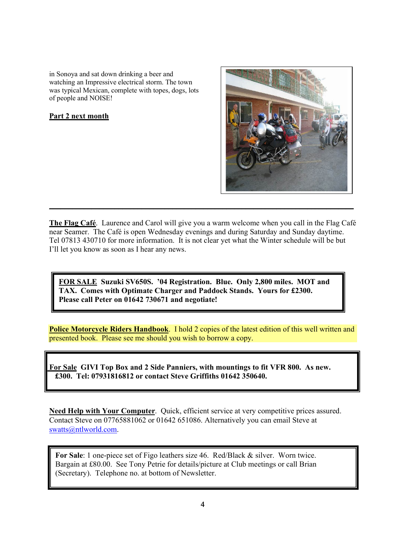in Sonoya and sat down drinking a beer and watching an Impressive electrical storm. The town was typical Mexican, complete with topes, dogs, lots of people and NOISE!

# Part 2 next month



The Flag Café. Laurence and Carol will give you a warm welcome when you call in the Flag Café near Seamer. The Café is open Wednesday evenings and during Saturday and Sunday daytime. Tel 07813 430710 for more information. It is not clear yet what the Winter schedule will be but I'll let you know as soon as I hear any news.

\_\_\_\_\_\_\_\_\_\_\_\_\_\_\_\_\_\_\_\_\_\_\_\_\_\_\_\_\_\_\_\_\_\_\_\_\_\_\_\_\_\_\_\_\_\_\_\_\_\_\_\_\_\_\_\_\_\_\_\_\_\_\_\_\_\_\_\_\_\_\_\_\_\_\_\_\_\_\_

FOR SALE Suzuki SV650S. '04 Registration. Blue. Only 2,800 miles. MOT and TAX. Comes with Optimate Charger and Paddock Stands. Yours for £2300. Please call Peter on 01642 730671 and negotiate!

Police Motorcycle Riders Handbook. I hold 2 copies of the latest edition of this well written and presented book. Please see me should you wish to borrow a copy.

 For Sale GIVI Top Box and 2 Side Panniers, with mountings to fit VFR 800. As new. £300. Tel: 07931816812 or contact Steve Griffiths 01642 350640.

Need Help with Your Computer. Quick, efficient service at very competitive prices assured. Contact Steve on 07765881062 or 01642 651086. Alternatively you can email Steve at swatts@ntlworld.com.

For Sale: 1 one-piece set of Figo leathers size 46. Red/Black & silver. Worn twice. Bargain at £80.00. See Tony Petrie for details/picture at Club meetings or call Brian (Secretary). Telephone no. at bottom of Newsletter.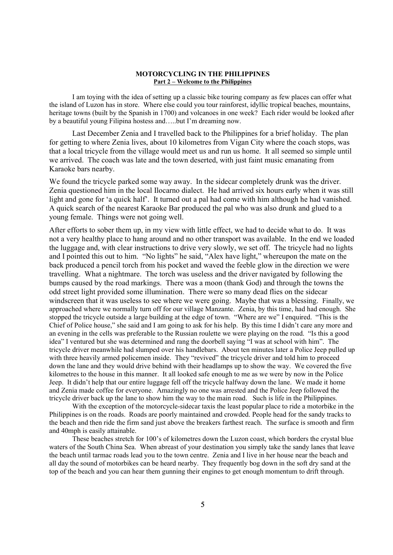# MOTORCYCLING IN THE PHILIPPINES Part 2 – Welcome to the Philippines

I am toying with the idea of setting up a classic bike touring company as few places can offer what the island of Luzon has in store. Where else could you tour rainforest, idyllic tropical beaches, mountains, heritage towns (built by the Spanish in 1700) and volcanoes in one week? Each rider would be looked after by a beautiful young Filipina hostess and…..but I'm dreaming now.

Last December Zenia and I travelled back to the Philippines for a brief holiday. The plan for getting to where Zenia lives, about 10 kilometres from Vigan City where the coach stops, was that a local tricycle from the village would meet us and run us home. It all seemed so simple until we arrived. The coach was late and the town deserted, with just faint music emanating from Karaoke bars nearby.

We found the tricycle parked some way away. In the sidecar completely drunk was the driver. Zenia questioned him in the local Ilocarno dialect. He had arrived six hours early when it was still light and gone for 'a quick half'. It turned out a pal had come with him although he had vanished. A quick search of the nearest Karaoke Bar produced the pal who was also drunk and glued to a young female. Things were not going well.

After efforts to sober them up, in my view with little effect, we had to decide what to do. It was not a very healthy place to hang around and no other transport was available. In the end we loaded the luggage and, with clear instructions to drive very slowly, we set off. The tricycle had no lights and I pointed this out to him. "No lights" he said, "Alex have light," whereupon the mate on the back produced a pencil torch from his pocket and waved the feeble glow in the direction we were travelling. What a nightmare. The torch was useless and the driver navigated by following the bumps caused by the road markings. There was a moon (thank God) and through the towns the odd street light provided some illumination. There were so many dead flies on the sidecar windscreen that it was useless to see where we were going. Maybe that was a blessing. Finally, we approached where we normally turn off for our village Manzante. Zenia, by this time, had had enough. She stopped the tricycle outside a large building at the edge of town. "Where are we" I enquired. "This is the Chief of Police house," she said and I am going to ask for his help. By this time I didn't care any more and an evening in the cells was preferable to the Russian roulette we were playing on the road. "Is this a good idea" I ventured but she was determined and rang the doorbell saying "I was at school with him". The tricycle driver meanwhile had slumped over his handlebars. About ten minutes later a Police Jeep pulled up with three heavily armed policemen inside. They "revived" the tricycle driver and told him to proceed down the lane and they would drive behind with their headlamps up to show the way. We covered the five kilometres to the house in this manner. It all looked safe enough to me as we were by now in the Police Jeep. It didn't help that our entire luggage fell off the tricycle halfway down the lane. We made it home and Zenia made coffee for everyone. Amazingly no one was arrested and the Police Jeep followed the tricycle driver back up the lane to show him the way to the main road. Such is life in the Philippines.

With the exception of the motorcycle-sidecar taxis the least popular place to ride a motorbike in the Philippines is on the roads. Roads are poorly maintained and crowded. People head for the sandy tracks to the beach and then ride the firm sand just above the breakers farthest reach. The surface is smooth and firm and 40mph is easily attainable.

These beaches stretch for 100's of kilometres down the Luzon coast, which borders the crystal blue waters of the South China Sea. When abreast of your destination you simply take the sandy lanes that leave the beach until tarmac roads lead you to the town centre. Zenia and I live in her house near the beach and all day the sound of motorbikes can be heard nearby. They frequently bog down in the soft dry sand at the top of the beach and you can hear them gunning their engines to get enough momentum to drift through.